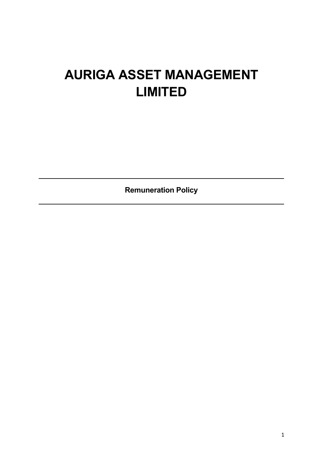# **AURIGA ASSET MANAGEMENT LIMITED**

**Remuneration Policy**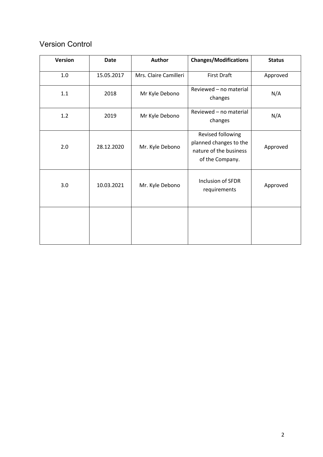# Version Control

| <b>Version</b> | <b>Date</b> | Author                | <b>Changes/Modifications</b>                                                             | <b>Status</b> |
|----------------|-------------|-----------------------|------------------------------------------------------------------------------------------|---------------|
| 1.0            | 15.05.2017  | Mrs. Claire Camilleri | <b>First Draft</b>                                                                       | Approved      |
| $1.1\,$        | 2018        | Mr Kyle Debono        | Reviewed - no material<br>changes                                                        | N/A           |
| 1.2            | 2019        | Mr Kyle Debono        | Reviewed - no material<br>changes                                                        | N/A           |
| 2.0            | 28.12.2020  | Mr. Kyle Debono       | Revised following<br>planned changes to the<br>nature of the business<br>of the Company. | Approved      |
| 3.0            | 10.03.2021  | Mr. Kyle Debono       | Inclusion of SFDR<br>requirements                                                        | Approved      |
|                |             |                       |                                                                                          |               |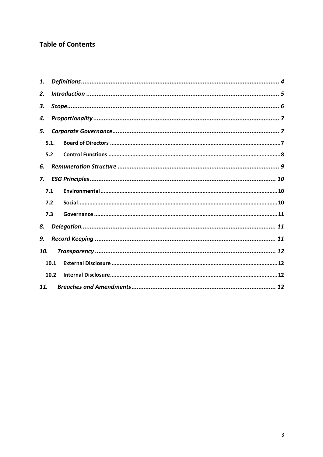# **Table of Contents**

| 1.  |      |  |  |  |  |
|-----|------|--|--|--|--|
| 2.  |      |  |  |  |  |
| 3.  |      |  |  |  |  |
| 4.  |      |  |  |  |  |
| 5.  |      |  |  |  |  |
|     | 5.1. |  |  |  |  |
|     | 5.2  |  |  |  |  |
| 6.  |      |  |  |  |  |
| 7.  |      |  |  |  |  |
|     | 7.1  |  |  |  |  |
|     | 7.2  |  |  |  |  |
| 7.3 |      |  |  |  |  |
| 8.  |      |  |  |  |  |
| 9.  |      |  |  |  |  |
| 10. |      |  |  |  |  |
|     | 10.1 |  |  |  |  |
|     | 10.2 |  |  |  |  |
| 11. |      |  |  |  |  |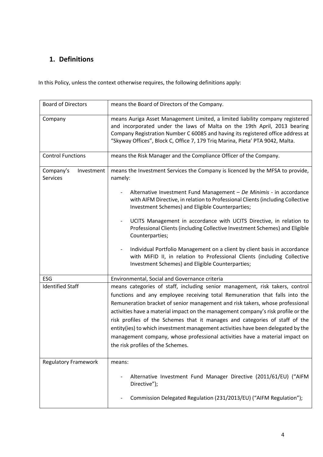# **1. Definitions**

In this Policy, unless the context otherwise requires, the following definitions apply:

| <b>Board of Directors</b>           | means the Board of Directors of the Company.                                                                                                                                                                                                                                                                                                                                                                                                                                                                                                                                                                             |  |
|-------------------------------------|--------------------------------------------------------------------------------------------------------------------------------------------------------------------------------------------------------------------------------------------------------------------------------------------------------------------------------------------------------------------------------------------------------------------------------------------------------------------------------------------------------------------------------------------------------------------------------------------------------------------------|--|
| Company                             | means Auriga Asset Management Limited, a limited liability company registered<br>and incorporated under the laws of Malta on the 19th April, 2013 bearing<br>Company Registration Number C 60085 and having its registered office address at<br>"Skyway Offices", Block C, Office 7, 179 Triq Marina, Pieta' PTA 9042, Malta.                                                                                                                                                                                                                                                                                            |  |
| <b>Control Functions</b>            | means the Risk Manager and the Compliance Officer of the Company.                                                                                                                                                                                                                                                                                                                                                                                                                                                                                                                                                        |  |
| Company's<br>Investment<br>Services | means the Investment Services the Company is licenced by the MFSA to provide,<br>namely:                                                                                                                                                                                                                                                                                                                                                                                                                                                                                                                                 |  |
|                                     | Alternative Investment Fund Management - De Minimis - in accordance<br>with AIFM Directive, in relation to Professional Clients (including Collective<br>Investment Schemes) and Eligible Counterparties;                                                                                                                                                                                                                                                                                                                                                                                                                |  |
|                                     | UCITS Management in accordance with UCITS Directive, in relation to<br>Professional Clients (including Collective Investment Schemes) and Eligible<br>Counterparties;                                                                                                                                                                                                                                                                                                                                                                                                                                                    |  |
|                                     | Individual Portfolio Management on a client by client basis in accordance<br>with MiFID II, in relation to Professional Clients (including Collective<br>Investment Schemes) and Eligible Counterparties;                                                                                                                                                                                                                                                                                                                                                                                                                |  |
| ESG                                 | Environmental, Social and Governance criteria                                                                                                                                                                                                                                                                                                                                                                                                                                                                                                                                                                            |  |
| <b>Identified Staff</b>             | means categories of staff, including senior management, risk takers, control<br>functions and any employee receiving total Remuneration that falls into the<br>Remuneration bracket of senior management and risk takers, whose professional<br>activities have a material impact on the management company's risk profile or the<br>risk profiles of the Schemes that it manages and categories of staff of the<br>entity(ies) to which investment management activities have been delegated by the<br>management company, whose professional activities have a material impact on<br>the risk profiles of the Schemes. |  |
| <b>Regulatory Framework</b>         | means:                                                                                                                                                                                                                                                                                                                                                                                                                                                                                                                                                                                                                   |  |
|                                     | Alternative Investment Fund Manager Directive (2011/61/EU) ("AIFM<br>Directive");                                                                                                                                                                                                                                                                                                                                                                                                                                                                                                                                        |  |
|                                     | Commission Delegated Regulation (231/2013/EU) ("AIFM Regulation");                                                                                                                                                                                                                                                                                                                                                                                                                                                                                                                                                       |  |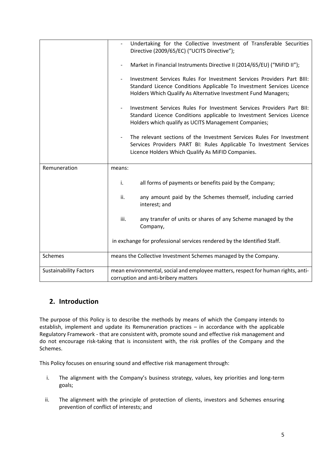|                               | Undertaking for the Collective Investment of Transferable Securities<br>Directive (2009/65/EC) ("UCITS Directive");                                                                                               |  |
|-------------------------------|-------------------------------------------------------------------------------------------------------------------------------------------------------------------------------------------------------------------|--|
|                               | Market in Financial Instruments Directive II (2014/65/EU) ("MiFID II");                                                                                                                                           |  |
|                               | Investment Services Rules For Investment Services Providers Part BIII:<br>Standard Licence Conditions Applicable To Investment Services Licence<br>Holders Which Qualify As Alternative Investment Fund Managers; |  |
|                               | Investment Services Rules For Investment Services Providers Part BII:<br>Standard Licence Conditions applicable to Investment Services Licence<br>Holders which qualify as UCITS Management Companies;            |  |
|                               | The relevant sections of the Investment Services Rules For Investment<br>Services Providers PART BI: Rules Applicable To Investment Services<br>Licence Holders Which Qualify As MiFID Companies.                 |  |
| Remuneration                  | means:                                                                                                                                                                                                            |  |
|                               | all forms of payments or benefits paid by the Company;<br>i.                                                                                                                                                      |  |
|                               | ii.<br>any amount paid by the Schemes themself, including carried<br>interest; and                                                                                                                                |  |
|                               | iii.<br>any transfer of units or shares of any Scheme managed by the<br>Company,                                                                                                                                  |  |
|                               | in exchange for professional services rendered by the Identified Staff.                                                                                                                                           |  |
| Schemes                       | means the Collective Investment Schemes managed by the Company.                                                                                                                                                   |  |
| <b>Sustainability Factors</b> | mean environmental, social and employee matters, respect for human rights, anti-<br>corruption and anti-bribery matters                                                                                           |  |

# **2. Introduction**

The purpose of this Policy is to describe the methods by means of which the Company intends to establish, implement and update its Remuneration practices – in accordance with the applicable Regulatory Framework - that are consistent with, promote sound and effective risk management and do not encourage risk-taking that is inconsistent with, the risk profiles of the Company and the Schemes.

This Policy focuses on ensuring sound and effective risk management through:

- i. The alignment with the Company's business strategy, values, key priorities and long-term goals;
- ii. The alignment with the principle of protection of clients, investors and Schemes ensuring prevention of conflict of interests; and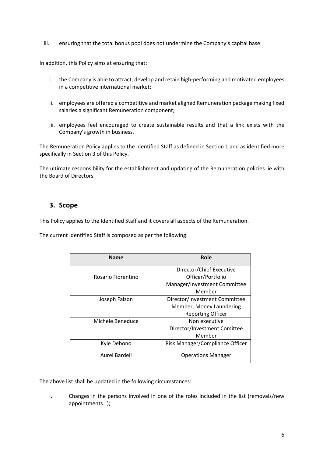iii. ensuring that the total bonus pool does not undermine the Company's capital base.

In addition, this Policy aims at ensuring that:

- i. the Company is able to attract, develop and retain high-performing and motivated employees in a competitive international market;
- ii. employees are offered a competitive and market aligned Remuneration package making fixed salaries a significant Remuneration component;
- iii. employees feel encouraged to create sustainable results and that a link exists with the Company's growth in business.

The Remuneration Policy applies to the Identified Staff as defined in Section 1 and as identified more specifically in Section 3 of this Policy.

The ultimate responsibility for the establishment and updating of the Remuneration policies lie with the Board of Directors.

## **3. Scope**

This Policy applies to the Identified Staff and it covers all aspects of the Remuneration.

The current Identified Staff is composed as per the following:

| <b>Name</b>        | Role                            |
|--------------------|---------------------------------|
|                    | Director/Chief Executive        |
| Rosario Fiorentino | Officer/Portfolio               |
|                    | Manager/Investment Committee    |
|                    | Member                          |
| Joseph Falzon      | Director/Investment Committee   |
|                    | Member, Money Laundering        |
|                    | <b>Reporting Officer</b>        |
| Michele Beneduce   | Non executive                   |
|                    | Director/Investment Comittee    |
|                    | Member                          |
| Kyle Debono        | Risk Manager/Compliance Officer |
| Aurel Bardeli      | <b>Operations Manager</b>       |

The above list shall be updated in the following circumstances:

i. Changes in the persons involved in one of the roles included in the list (removals/new appointments…);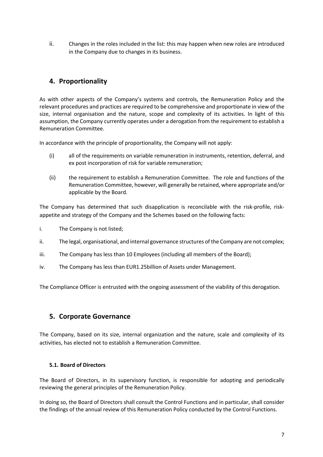ii. Changes in the roles included in the list: this may happen when new roles are introduced in the Company due to changes in its business.

# **4. Proportionality**

As with other aspects of the Company's systems and controls, the Remuneration Policy and the relevant procedures and practices are required to be comprehensive and proportionate in view of the size, internal organisation and the nature, scope and complexity of its activities. In light of this assumption, the Company currently operates under a derogation from the requirement to establish a Remuneration Committee.

In accordance with the principle of proportionality, the Company will not apply:

- (i) all of the requirements on variable remuneration in instruments, retention, deferral, and ex post incorporation of risk for variable remuneration;
- (ii) the requirement to establish a Remuneration Committee. The role and functions of the Remuneration Committee, however, will generally be retained, where appropriate and/or applicable by the Board.

The Company has determined that such disapplication is reconcilable with the risk-profile, riskappetite and strategy of the Company and the Schemes based on the following facts:

i. The Company is not listed;

- ii. The legal, organisational, and internal governance structures of the Company are not complex;
- iii. The Company has less than 10 Employees (including all members of the Board);
- iv. The Company has less than EUR1.25billion of Assets under Management.

The Compliance Officer is entrusted with the ongoing assessment of the viability of this derogation.

## **5. Corporate Governance**

The Company, based on its size, internal organization and the nature, scale and complexity of its activities, has elected not to establish a Remuneration Committee.

## **5.1. Board of Directors**

The Board of Directors, in its supervisory function, is responsible for adopting and periodically reviewing the general principles of the Remuneration Policy.

In doing so, the Board of Directors shall consult the Control Functions and in particular, shall consider the findings of the annual review of this Remuneration Policy conducted by the Control Functions.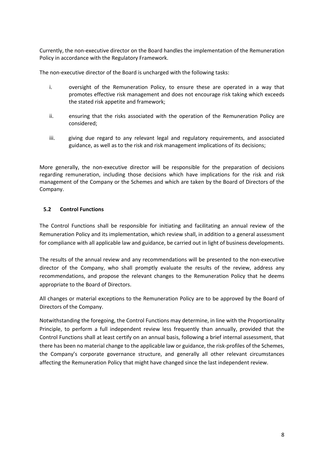Currently, the non-executive director on the Board handles the implementation of the Remuneration Policy in accordance with the Regulatory Framework.

The non-executive director of the Board is uncharged with the following tasks:

- i. oversight of the Remuneration Policy, to ensure these are operated in a way that promotes effective risk management and does not encourage risk taking which exceeds the stated risk appetite and framework;
- ii. ensuring that the risks associated with the operation of the Remuneration Policy are considered;
- iii. giving due regard to any relevant legal and regulatory requirements, and associated guidance, as well as to the risk and risk management implications of its decisions;

More generally, the non-executive director will be responsible for the preparation of decisions regarding remuneration, including those decisions which have implications for the risk and risk management of the Company or the Schemes and which are taken by the Board of Directors of the Company.

## **5.2 Control Functions**

The Control Functions shall be responsible for initiating and facilitating an annual review of the Remuneration Policy and its implementation, which review shall, in addition to a general assessment for compliance with all applicable law and guidance, be carried out in light of business developments.

The results of the annual review and any recommendations will be presented to the non-executive director of the Company, who shall promptly evaluate the results of the review, address any recommendations, and propose the relevant changes to the Remuneration Policy that he deems appropriate to the Board of Directors.

All changes or material exceptions to the Remuneration Policy are to be approved by the Board of Directors of the Company.

Notwithstanding the foregoing, the Control Functions may determine, in line with the Proportionality Principle, to perform a full independent review less frequently than annually, provided that the Control Functions shall at least certify on an annual basis, following a brief internal assessment, that there has been no material change to the applicable law or guidance, the risk-profiles of the Schemes, the Company's corporate governance structure, and generally all other relevant circumstances affecting the Remuneration Policy that might have changed since the last independent review.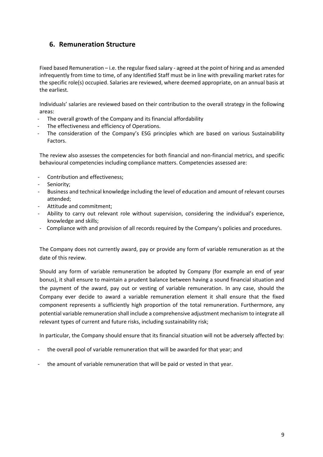# **6. Remuneration Structure**

Fixed based Remuneration – i.e. the regular fixed salary - agreed at the point of hiring and as amended infrequently from time to time, of any Identified Staff must be in line with prevailing market rates for the specific role(s) occupied. Salaries are reviewed, where deemed appropriate, on an annual basis at the earliest.

Individuals' salaries are reviewed based on their contribution to the overall strategy in the following areas:

- The overall growth of the Company and its financial affordability
- The effectiveness and efficiency of Operations.
- The consideration of the Company's ESG principles which are based on various Sustainability Factors.

The review also assesses the competencies for both financial and non-financial metrics, and specific behavioural competencies including compliance matters. Competencies assessed are:

- Contribution and effectiveness;
- Seniority;
- Business and technical knowledge including the level of education and amount of relevant courses attended;
- Attitude and commitment;
- Ability to carry out relevant role without supervision, considering the individual's experience, knowledge and skills;
- Compliance with and provision of all records required by the Company's policies and procedures.

The Company does not currently award, pay or provide any form of variable remuneration as at the date of this review.

Should any form of variable remuneration be adopted by Company (for example an end of year bonus), it shall ensure to maintain a prudent balance between having a sound financial situation and the payment of the award, pay out or vesting of variable remuneration. In any case, should the Company ever decide to award a variable remuneration element it shall ensure that the fixed component represents a sufficiently high proportion of the total remuneration. Furthermore, any potential variable remuneration shall include a comprehensive adjustment mechanism to integrate all relevant types of current and future risks, including sustainability risk;

In particular, the Company should ensure that its financial situation will not be adversely affected by:

- the overall pool of variable remuneration that will be awarded for that year; and
- the amount of variable remuneration that will be paid or vested in that year.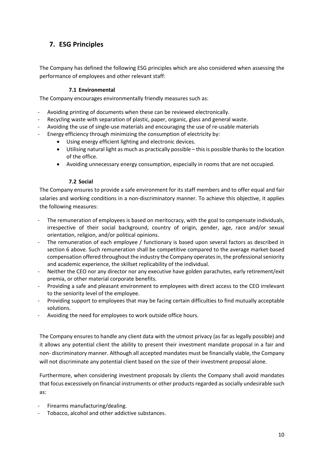# **7. ESG Principles**

The Company has defined the following ESG principles which are also considered when assessing the performance of employees and other relevant staff:

## **7.1 Environmental**

The Company encourages environmentally friendly measures such as:

- Avoiding printing of documents when these can be reviewed electronically.
- Recycling waste with separation of plastic, paper, organic, glass and general waste.
- Avoiding the use of single-use materials and encouraging the use of re-usable materials
- Energy efficiency through minimizing the consumption of electricity by:
	- Using energy efficient lighting and electronic devices.
	- Utilising natural light as much as practically possible this is possible thanks to the location of the office.
	- Avoiding unnecessary energy consumption, especially in rooms that are not occupied.

#### **7.2 Social**

The Company ensures to provide a safe environment for its staff members and to offer equal and fair salaries and working conditions in a non-discriminatory manner. To achieve this objective, it applies the following measures:

- The remuneration of employees is based on meritocracy, with the goal to compensate individuals, irrespective of their social background, country of origin, gender, age, race and/or sexual orientation, religion, and/or political opinions.
- The remuneration of each employee / functionary is based upon several factors as described in section 6 above. Such remuneration shall be competitive compared to the average market-based compensation offered throughout the industry the Company operates in, the professional seniority and academic experience, the skillset replicability of the individual.
- Neither the CEO nor any director nor any executive have golden parachutes, early retirement/exit premia, or other material corporate benefits.
- Providing a safe and pleasant environment to employees with direct access to the CEO irrelevant to the seniority level of the employee.
- Providing support to employees that may be facing certain difficulties to find mutually acceptable solutions.
- Avoiding the need for employees to work outside office hours.

The Company ensures to handle any client data with the utmost privacy (as far as legally possible) and it allows any potential client the ability to present their investment mandate proposal in a fair and non- discriminatory manner. Although all accepted mandates must be financially viable, the Company will not discriminate any potential client based on the size of their investment proposal alone.

Furthermore, when considering investment proposals by clients the Company shall avoid mandates that focus excessively on financial instruments or other products regarded as socially undesirable such as:

- Firearms manufacturing/dealing.
- Tobacco, alcohol and other addictive substances.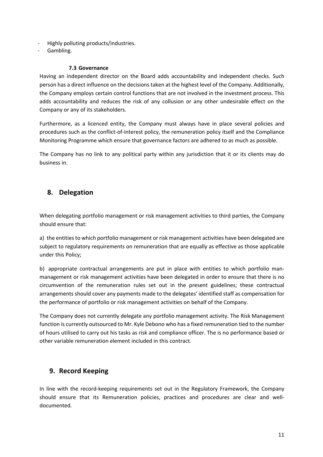- Highly polluting products/industries.
- Gambling.

#### **7.3 Governance**

Having an independent director on the Board adds accountability and independent checks. Such person has a direct influence on the decisions taken at the highest level of the Company. Additionally, the Company employs certain control functions that are not involved in the investment process. This adds accountability and reduces the risk of any collusion or any other undesirable effect on the Company or any of its stakeholders.

Furthermore, as a licenced entity, the Company must always have in place several policies and procedures such as the conflict-of-interest policy, the remuneration policy itself and the Compliance Monitoring Programme which ensure that governance factors are adhered to as much as possible.

The Company has no link to any political party within any jurisdiction that it or its clients may do business in.

## **8. Delegation**

When delegating portfolio management or risk management activities to third parties, the Company should ensure that:

a) the entities to which portfolio management or risk management activities have been delegated are subject to regulatory requirements on remuneration that are equally as effective as those applicable under this Policy;

b) appropriate contractual arrangements are put in place with entities to which portfolio manmanagement or risk management activities have been delegated in order to ensure that there is no circumvention of the remuneration rules set out in the present guidelines; these contractual arrangements should cover any payments made to the delegates' identified staff as compensation for the performance of portfolio or risk management activities on behalf of the Company.

The Company does not currently delegate any portfolio management activity. The Risk Management function is currently outsourced to Mr. Kyle Debono who has a fixed remuneration tied to the number of hours utilised to carry out his tasks as risk and compliance officer. The is no performance based or other variable remuneration element included in this contract.

## **9. Record Keeping**

In line with the record-keeping requirements set out in the Regulatory Framework, the Company should ensure that its Remuneration policies, practices and procedures are clear and welldocumented.